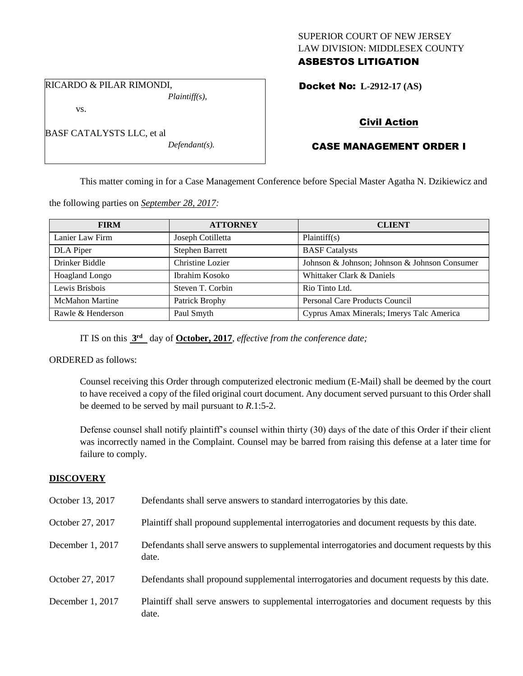## SUPERIOR COURT OF NEW JERSEY LAW DIVISION: MIDDLESEX COUNTY ASBESTOS LITIGATION

RICARDO & PILAR RIMONDI, *Plaintiff(s),*

vs.

| BASF CATALYSTS LLC, et al |                |
|---------------------------|----------------|
|                           | P <sub>1</sub> |

*Defendant(s).*

# Docket No: **L-2912-17 (AS)**

# Civil Action

# CASE MANAGEMENT ORDER I

This matter coming in for a Case Management Conference before Special Master Agatha N. Dzikiewicz and

the following parties on *September 28, 2017:*

| <b>FIRM</b>            | <b>ATTORNEY</b>        | <b>CLIENT</b>                                 |
|------------------------|------------------------|-----------------------------------------------|
| Lanier Law Firm        | Joseph Cotilletta      | Plaintiff(s)                                  |
| DLA Piper              | <b>Stephen Barrett</b> | <b>BASF</b> Catalysts                         |
| Drinker Biddle         | Christine Lozier       | Johnson & Johnson; Johnson & Johnson Consumer |
| Hoagland Longo         | Ibrahim Kosoko         | Whittaker Clark & Daniels                     |
| Lewis Brisbois         | Steven T. Corbin       | Rio Tinto Ltd.                                |
| <b>McMahon Martine</b> | Patrick Brophy         | Personal Care Products Council                |
| Rawle & Henderson      | Paul Smyth             | Cyprus Amax Minerals; Imerys Talc America     |

IT IS on this  $3<sup>rd</sup>$  day of **October, 2017**, *effective from the conference date*;

ORDERED as follows:

Counsel receiving this Order through computerized electronic medium (E-Mail) shall be deemed by the court to have received a copy of the filed original court document. Any document served pursuant to this Order shall be deemed to be served by mail pursuant to *R*.1:5-2.

Defense counsel shall notify plaintiff's counsel within thirty (30) days of the date of this Order if their client was incorrectly named in the Complaint. Counsel may be barred from raising this defense at a later time for failure to comply.

# **DISCOVERY**

| October 13, 2017 | Defendants shall serve answers to standard interrogatories by this date.                              |
|------------------|-------------------------------------------------------------------------------------------------------|
| October 27, 2017 | Plaintiff shall propound supplemental interrogatories and document requests by this date.             |
| December 1, 2017 | Defendants shall serve answers to supplemental interrogatories and document requests by this<br>date. |
| October 27, 2017 | Defendants shall propound supplemental interrogatories and document requests by this date.            |
| December 1, 2017 | Plaintiff shall serve answers to supplemental interrogatories and document requests by this<br>date.  |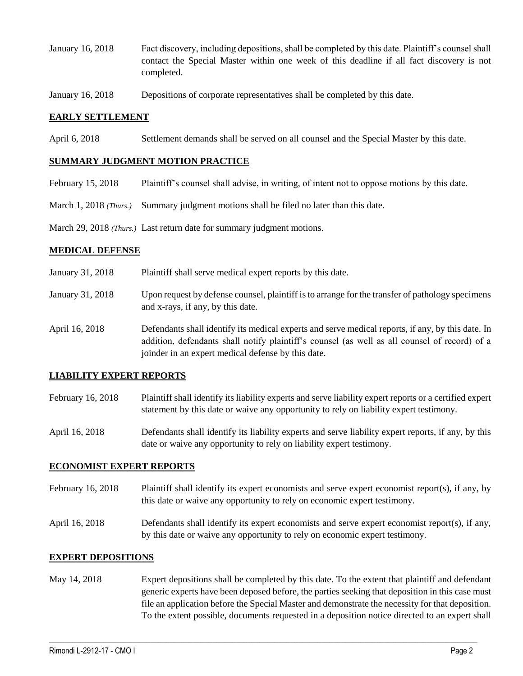- January 16, 2018 Fact discovery, including depositions, shall be completed by this date. Plaintiff's counsel shall contact the Special Master within one week of this deadline if all fact discovery is not completed.
- January 16, 2018 Depositions of corporate representatives shall be completed by this date.

### **EARLY SETTLEMENT**

April 6, 2018 Settlement demands shall be served on all counsel and the Special Master by this date.

### **SUMMARY JUDGMENT MOTION PRACTICE**

- February 15, 2018 Plaintiff's counsel shall advise, in writing, of intent not to oppose motions by this date.
- March 1, 2018 *(Thurs.)* Summary judgment motions shall be filed no later than this date.

March 29, 2018 *(Thurs.)* Last return date for summary judgment motions.

#### **MEDICAL DEFENSE**

- January 31, 2018 Plaintiff shall serve medical expert reports by this date.
- January 31, 2018 Upon request by defense counsel, plaintiff is to arrange for the transfer of pathology specimens and x-rays, if any, by this date.
- April 16, 2018 Defendants shall identify its medical experts and serve medical reports, if any, by this date. In addition, defendants shall notify plaintiff's counsel (as well as all counsel of record) of a joinder in an expert medical defense by this date.

## **LIABILITY EXPERT REPORTS**

- February 16, 2018 Plaintiff shall identify its liability experts and serve liability expert reports or a certified expert statement by this date or waive any opportunity to rely on liability expert testimony.
- April 16, 2018 Defendants shall identify its liability experts and serve liability expert reports, if any, by this date or waive any opportunity to rely on liability expert testimony.

#### **ECONOMIST EXPERT REPORTS**

- February 16, 2018 Plaintiff shall identify its expert economists and serve expert economist report(s), if any, by this date or waive any opportunity to rely on economic expert testimony.
- April 16, 2018 Defendants shall identify its expert economists and serve expert economist report(s), if any, by this date or waive any opportunity to rely on economic expert testimony.

#### **EXPERT DEPOSITIONS**

May 14, 2018 Expert depositions shall be completed by this date. To the extent that plaintiff and defendant generic experts have been deposed before, the parties seeking that deposition in this case must file an application before the Special Master and demonstrate the necessity for that deposition. To the extent possible, documents requested in a deposition notice directed to an expert shall

 $\_$  ,  $\_$  ,  $\_$  ,  $\_$  ,  $\_$  ,  $\_$  ,  $\_$  ,  $\_$  ,  $\_$  ,  $\_$  ,  $\_$  ,  $\_$  ,  $\_$  ,  $\_$  ,  $\_$  ,  $\_$  ,  $\_$  ,  $\_$  ,  $\_$  ,  $\_$  ,  $\_$  ,  $\_$  ,  $\_$  ,  $\_$  ,  $\_$  ,  $\_$  ,  $\_$  ,  $\_$  ,  $\_$  ,  $\_$  ,  $\_$  ,  $\_$  ,  $\_$  ,  $\_$  ,  $\_$  ,  $\_$  ,  $\_$  ,